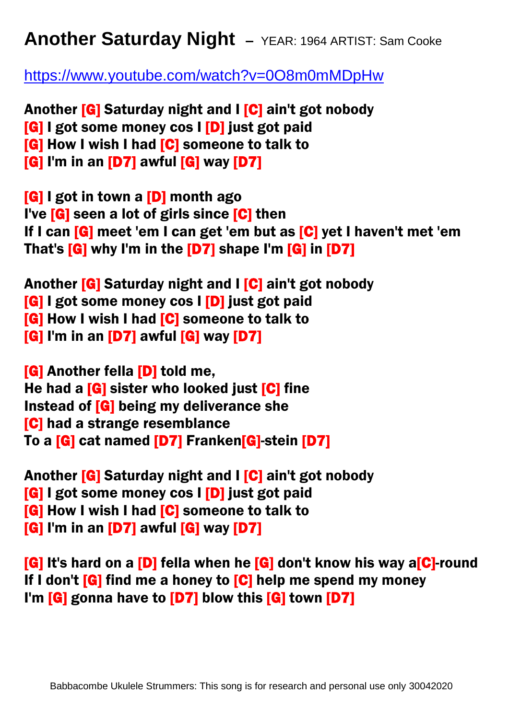## **Another Saturday Night –** YEAR: 1964 ARTIST: Sam Cooke

<https://www.youtube.com/watch?v=0O8m0mMDpHw>

Another [G] Saturday night and I [C] ain't got nobody [G] I got some money cos I [D] just got paid **[G] How I wish I had [C] someone to talk to** [G] I'm in an [D7] awful [G] way [D7]

[G] I got in town a [D] month ago I've [G] seen a lot of girls since [C] then If I can [G] meet 'em I can get 'em but as [C] yet I haven't met 'em That's [G] why I'm in the [D7] shape I'm [G] in [D7]

Another [G] Saturday night and I [C] ain't got nobody [G] I got some money cos I [D] just got paid [G] How I wish I had [C] someone to talk to [G] I'm in an [D7] awful [G] way [D7]

[G] Another fella [D] told me, He had a **[G]** sister who looked just **[C]** fine Instead of [G] being my deliverance she [C] had a strange resemblance To a [G] cat named [D7] Franken[G]-stein [D7]

Another [G] Saturday night and I [C] ain't got nobody [G] I got some money cos I [D] just got paid **[G] How I wish I had [C] someone to talk to** [G] I'm in an [D7] awful [G] way [D7]

[G] It's hard on a [D] fella when he [G] don't know his way a[C]-round If I don't  $[G]$  find me a honey to  $[G]$  help me spend my money I'm **[G]** gonna have to **[D7]** blow this **[G]** town **[D7]**